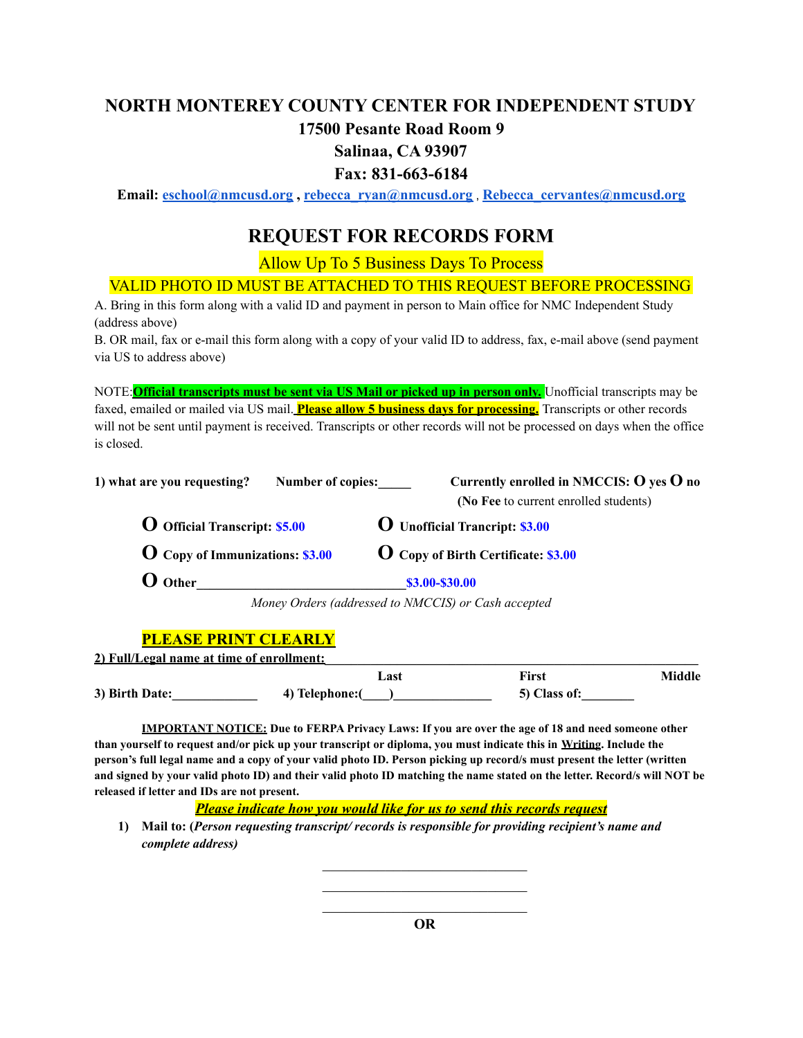# **NORTH MONTEREY COUNTY CENTER FOR INDEPENDENT STUDY**

## **17500 Pesante Road Room 9**

## **Salinaa, CA 93907**

### **Fax: 831-663-6184**

**Email: [eschool@nmcusd.org](mailto:eschool@nmcusd.org) , [rebecca\\_ryan@nmcusd.org](mailto:rebecca_ryan@nmcusd.org)** , **[Rebecca\\_cervantes@nmcusd.org](mailto:Rebecca_cervantes@nmcusd.org)**

# **REQUEST FOR RECORDS FORM**

Allow Up To 5 Business Days To Process

#### VALID PHOTO ID MUST BE ATTACHED TO THIS REQUEST BEFORE PROCESSING

A. Bring in this form along with a valid ID and payment in person to Main office for NMC Independent Study (address above)

B. OR mail, fax or e-mail this form along with a copy of your valid ID to address, fax, e-mail above (send payment via US to address above)

NOTE:**Official transcripts must be sent via US Mail or picked up in person only.** Unofficial transcripts may be faxed, emailed or mailed via US mail. **Please allow 5 business days for processing.** Transcripts or other records will not be sent until payment is received. Transcripts or other records will not be processed on days when the office is closed.

| 1) what are you requesting?            | Number of copies: | Currently enrolled in NMCCIS: $O$ yes $O$ no                                                                                                                                                                                                                                                                                                                    |  |
|----------------------------------------|-------------------|-----------------------------------------------------------------------------------------------------------------------------------------------------------------------------------------------------------------------------------------------------------------------------------------------------------------------------------------------------------------|--|
|                                        |                   | (No Fee to current enrolled students)                                                                                                                                                                                                                                                                                                                           |  |
| <b>O</b> Official Transcript: \$5.00   |                   | <b>O</b> Unofficial Trancript: \$3.00<br><b>O</b> Copy of Birth Certificate: \$3.00                                                                                                                                                                                                                                                                             |  |
| <b>O</b> Copy of Immunizations: \$3.00 |                   |                                                                                                                                                                                                                                                                                                                                                                 |  |
| <b>O</b> Other                         |                   | \$3.00-\$30.00                                                                                                                                                                                                                                                                                                                                                  |  |
|                                        |                   | $\overline{11}$ $\overline{11}$ $\overline{11}$ $\overline{11}$ $\overline{11}$ $\overline{11}$ $\overline{11}$ $\overline{11}$ $\overline{11}$ $\overline{11}$ $\overline{11}$ $\overline{11}$ $\overline{11}$ $\overline{11}$ $\overline{11}$ $\overline{11}$ $\overline{11}$ $\overline{11}$ $\overline{11}$ $\overline{11}$ $\overline{11}$ $\overline{11}$ |  |

*Money Orders (addressed to NMCCIS) or Cash accepted*

#### **PLEASE PRINT CLEARLY**

| 2) Full/Legal name at time of enrollment: |                 |              |        |
|-------------------------------------------|-----------------|--------------|--------|
|                                           | ∟ast            | First        | Middle |
| 3) Birth Date:                            | 4) Telephone: ( | 5) Class of: |        |

**IMPORTANT NOTICE: Due to FERPA Privacy Laws: If you are over the age of 18 and need someone other than yourself to request and/or pick up your transcript or diploma, you must indicate this in Writing. Include the person's full legal name and a copy of your valid photo ID. Person picking up record/s must present the letter (written and signed by your valid photo ID) and their valid photo ID matching the name stated on the letter. Record/s will NOT be released if letter and IDs are not present.**

*Please indicate how you would like for us to send this records request*

**1) Mail to: (***Person requesting transcript/ records is responsible for providing recipient's name and complete address)*

> $\mathcal{L}_\text{max}$  , where  $\mathcal{L}_\text{max}$  and  $\mathcal{L}_\text{max}$ **OR**

> $\mathcal{L}_\text{max}$  , where  $\mathcal{L}_\text{max}$  and  $\mathcal{L}_\text{max}$  $\mathcal{L}_\text{max}$